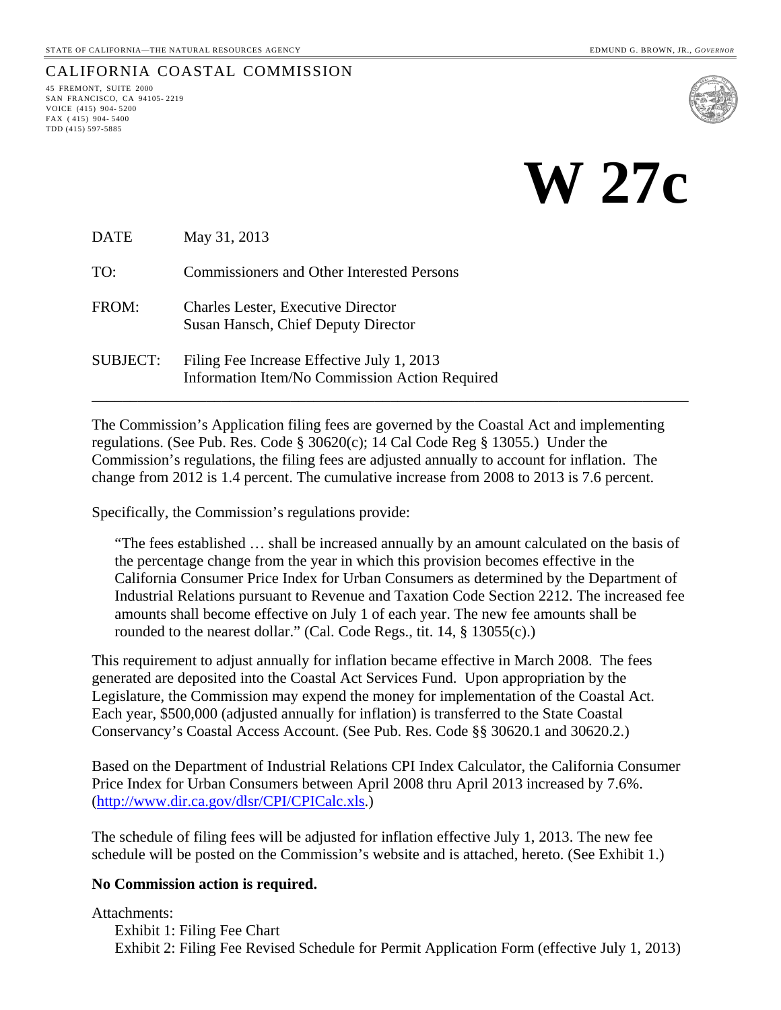SAN FRANCISCO, CA 94105- 2219 VOICE (415) 904- 5200 FAX ( 415) 904- 5400 TDD (415) 597-5885

CALIFORNIA COASTAL COMMISSION<br>45 FREMONT, SUITE 2000

# **W 27c**

DATE May 31, 2013

TO: Commissioners and Other Interested Persons

- FROM: Charles Lester, Executive Director Susan Hansch, Chief Deputy Director
- SUBJECT: Filing Fee Increase Effective July 1, 2013 Information Item/No Commission Action Required

The Commission's Application filing fees are governed by the Coastal Act and implementing regulations. (See Pub. Res. Code § 30620(c); 14 Cal Code Reg § 13055.) Under the Commission's regulations, the filing fees are adjusted annually to account for inflation. The change from 2012 is 1.4 percent. The cumulative increase from 2008 to 2013 is 7.6 percent.

\_\_\_\_\_\_\_\_\_\_\_\_\_\_\_\_\_\_\_\_\_\_\_\_\_\_\_\_\_\_\_\_\_\_\_\_\_\_\_\_\_\_\_\_\_\_\_\_\_\_\_\_\_\_\_\_\_\_\_\_\_\_\_\_\_\_\_\_\_\_\_\_\_\_\_\_\_\_

Specifically, the Commission's regulations provide:

"The fees established … shall be increased annually by an amount calculated on the basis of the percentage change from the year in which this provision becomes effective in the California Consumer Price Index for Urban Consumers as determined by the Department of Industrial Relations pursuant to Revenue and Taxation Code Section 2212. The increased fee amounts shall become effective on July 1 of each year. The new fee amounts shall be rounded to the nearest dollar." (Cal. Code Regs., tit. 14, § 13055(c).)

This requirement to adjust annually for inflation became effective in March 2008. The fees generated are deposited into the Coastal Act Services Fund. Upon appropriation by the Legislature, the Commission may expend the money for implementation of the Coastal Act. Each year, \$500,000 (adjusted annually for inflation) is transferred to the State Coastal Conservancy's Coastal Access Account. (See Pub. Res. Code §§ 30620.1 and 30620.2.)

Based on the Department of Industrial Relations CPI Index Calculator, the California Consumer Price Index for Urban Consumers between April 2008 thru April 2013 increased by 7.6%. (<http://www.dir.ca.gov/dlsr/CPI/CPICalc.xls>.)

The schedule of filing fees will be adjusted for inflation effective July 1, 2013. The new fee schedule will be posted on the Commission's website and is attached, hereto. (See Exhibit 1.)

#### **No Commission action is required.**

Attachments: Exhibit 1: Filing Fee Chart Exhibit 2: Filing Fee Revised Schedule for Permit Application Form (effective July 1, 2013)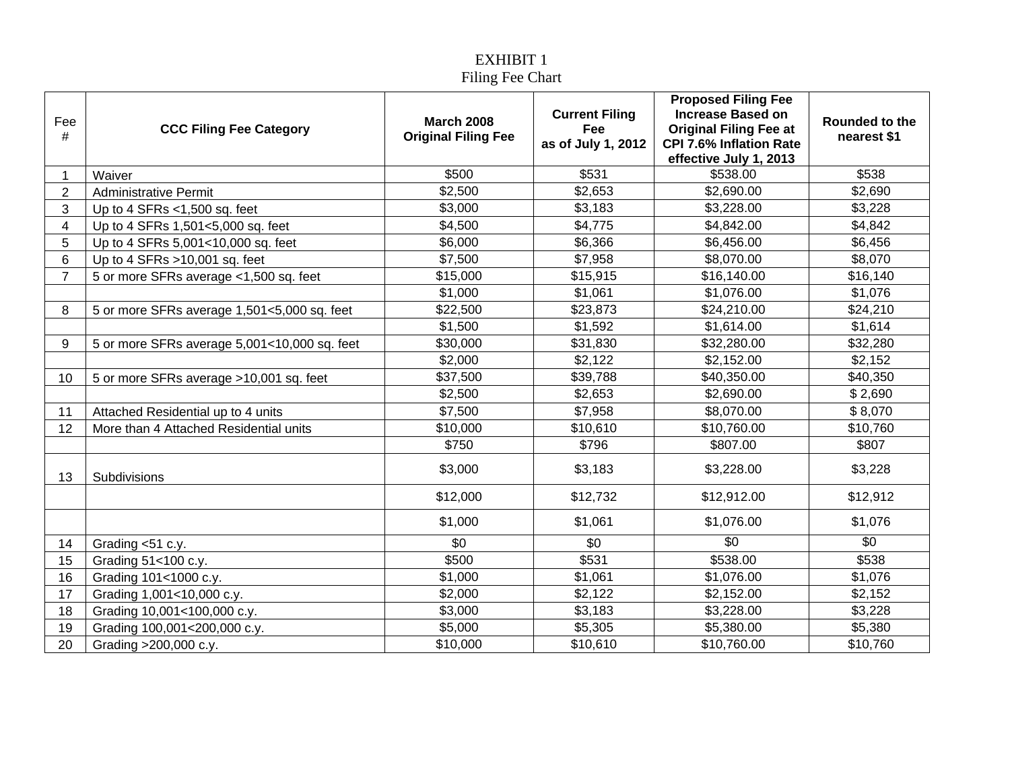## EXHIBIT 1 Filing Fee Chart

| Fee            |                                              | <b>March 2008</b>          | <b>Current Filing</b>            | <b>Proposed Filing Fee</b><br><b>Increase Based on</b>          | Rounded to the  |
|----------------|----------------------------------------------|----------------------------|----------------------------------|-----------------------------------------------------------------|-----------------|
| #              | <b>CCC Filing Fee Category</b>               | <b>Original Filing Fee</b> | <b>Fee</b><br>as of July 1, 2012 | <b>Original Filing Fee at</b><br><b>CPI 7.6% Inflation Rate</b> | nearest \$1     |
|                |                                              |                            |                                  | effective July 1, 2013                                          |                 |
| 1              | Waiver                                       | \$500                      | \$531                            | \$538.00                                                        | \$538           |
| $\overline{2}$ | <b>Administrative Permit</b>                 | \$2,500                    | \$2,653                          | \$2,690.00                                                      | \$2,690         |
| 3              | Up to 4 SFRs $<$ 1,500 sq. feet              | \$3,000                    | \$3,183                          | \$3,228.00                                                      | \$3,228         |
| 4              | Up to 4 SFRs 1,501<5,000 sq. feet            | \$4,500                    | \$4,775                          | \$4,842.00                                                      | \$4,842         |
| 5              | Up to 4 SFRs 5,001<10,000 sq. feet           | \$6,000                    | \$6,366                          | \$6,456.00                                                      | \$6,456         |
| 6              | Up to 4 SFRs $>10,001$ sq. feet              | \$7,500                    | \$7,958                          | \$8,070.00                                                      | \$8,070         |
| $\overline{7}$ | 5 or more SFRs average <1,500 sq. feet       | \$15,000                   | \$15,915                         | \$16,140.00                                                     | \$16,140        |
|                |                                              | \$1,000                    | \$1,061                          | \$1,076.00                                                      | \$1,076         |
| 8              | 5 or more SFRs average 1,501<5,000 sq. feet  | \$22,500                   | \$23,873                         | \$24,210.00                                                     | \$24,210        |
|                |                                              | \$1,500                    | \$1,592                          | \$1,614.00                                                      | \$1,614         |
| 9              | 5 or more SFRs average 5,001<10,000 sq. feet | \$30,000                   | \$31,830                         | \$32,280.00                                                     | \$32,280        |
|                |                                              | \$2,000                    | \$2,122                          | \$2,152.00                                                      | \$2,152         |
| 10             | 5 or more SFRs average >10,001 sq. feet      | \$37,500                   | \$39,788                         | \$40,350.00                                                     | \$40,350        |
|                |                                              | \$2,500                    | \$2,653                          | \$2,690.00                                                      | \$2,690         |
| 11             | Attached Residential up to 4 units           | \$7,500                    | \$7,958                          | \$8,070.00                                                      | \$8,070         |
| 12             | More than 4 Attached Residential units       | \$10,000                   | \$10,610                         | \$10,760.00                                                     | \$10,760        |
|                |                                              | \$750                      | \$796                            | \$807.00                                                        | \$807           |
| 13             | Subdivisions                                 | \$3,000                    | \$3,183                          | \$3,228.00                                                      | \$3,228         |
|                |                                              | \$12,000                   | \$12,732                         | \$12,912.00                                                     | \$12,912        |
|                |                                              | \$1,000                    | \$1,061                          | \$1,076.00                                                      | \$1,076         |
| 14             | Grading <51 c.y.                             | \$0                        | \$0                              | $\overline{30}$                                                 | $\overline{50}$ |
| 15             | Grading 51<100 c.y.                          | \$500                      | \$531                            | \$538.00                                                        | \$538           |
| 16             | Grading 101<1000 c.y.                        | \$1,000                    | \$1,061                          | \$1,076.00                                                      | \$1,076         |
| 17             | Grading 1,001<10,000 c.y.                    | \$2,000                    | \$2,122                          | \$2,152.00                                                      | \$2,152         |
| 18             | Grading 10,001<100,000 c.y.                  | \$3,000                    | \$3,183                          | \$3,228.00                                                      | \$3,228         |
| 19             | Grading 100,001<200,000 c.y.                 | \$5,000                    | \$5,305                          | \$5,380.00                                                      | \$5,380         |
| 20             | Grading >200,000 c.y.                        | \$10,000                   | \$10,610                         | \$10,760.00                                                     | \$10,760        |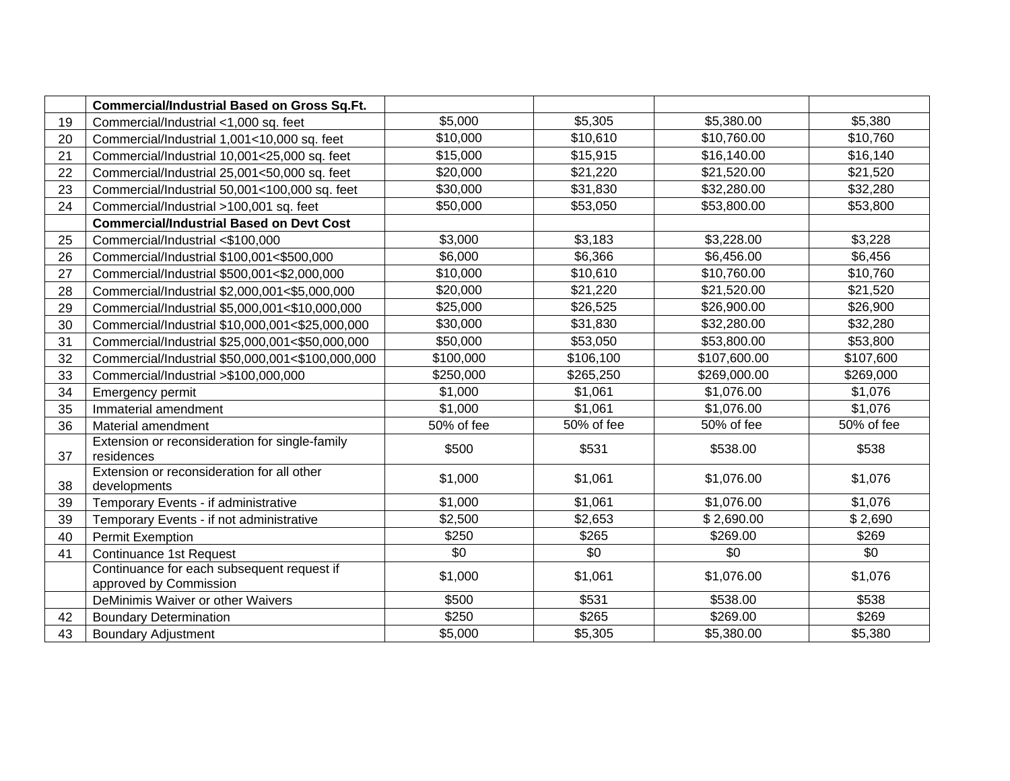|    | <b>Commercial/Industrial Based on Gross Sq.Ft.</b>                   |            |            |              |            |
|----|----------------------------------------------------------------------|------------|------------|--------------|------------|
| 19 | Commercial/Industrial <1,000 sq. feet                                | \$5,000    | \$5,305    | \$5,380.00   | \$5,380    |
| 20 | Commercial/Industrial 1,001<10,000 sq. feet                          | \$10,000   | \$10,610   | \$10,760.00  | \$10,760   |
| 21 | Commercial/Industrial 10,001<25,000 sq. feet                         | \$15,000   | \$15,915   | \$16,140.00  | \$16,140   |
| 22 | Commercial/Industrial 25,001<50,000 sq. feet                         | \$20,000   | \$21,220   | \$21,520.00  | \$21,520   |
| 23 | Commercial/Industrial 50,001<100,000 sq. feet                        | \$30,000   | \$31,830   | \$32,280.00  | \$32,280   |
| 24 | Commercial/Industrial >100,001 sq. feet                              | \$50,000   | \$53,050   | \$53,800.00  | \$53,800   |
|    | <b>Commercial/Industrial Based on Devt Cost</b>                      |            |            |              |            |
| 25 | Commercial/Industrial <\$100,000                                     | \$3,000    | \$3,183    | \$3,228.00   | \$3,228    |
| 26 | Commercial/Industrial \$100,001<\$500,000                            | \$6,000    | \$6,366    | \$6,456.00   | \$6,456    |
| 27 | Commercial/Industrial \$500,001<\$2,000,000                          | \$10,000   | \$10,610   | \$10,760.00  | \$10,760   |
| 28 | Commercial/Industrial \$2,000,001<\$5,000,000                        | \$20,000   | \$21,220   | \$21,520.00  | \$21,520   |
| 29 | Commercial/Industrial \$5,000,001<\$10,000,000                       | \$25,000   | \$26,525   | \$26,900.00  | \$26,900   |
| 30 | Commercial/Industrial \$10,000,001<\$25,000,000                      | \$30,000   | \$31,830   | \$32,280.00  | \$32,280   |
| 31 | Commercial/Industrial \$25,000,001<\$50,000,000                      | \$50,000   | \$53,050   | \$53,800.00  | \$53,800   |
| 32 | Commercial/Industrial \$50,000,001<\$100,000,000                     | \$100,000  | \$106,100  | \$107,600.00 | \$107,600  |
| 33 | Commercial/Industrial >\$100,000,000                                 | \$250,000  | \$265,250  | \$269,000.00 | \$269,000  |
| 34 | Emergency permit                                                     | \$1,000    | \$1,061    | \$1,076.00   | \$1,076    |
| 35 | Immaterial amendment                                                 | \$1,000    | \$1,061    | \$1,076.00   | \$1,076    |
| 36 | Material amendment                                                   | 50% of fee | 50% of fee | 50% of fee   | 50% of fee |
| 37 | Extension or reconsideration for single-family<br>residences         | \$500      | \$531      | \$538.00     | \$538      |
| 38 | Extension or reconsideration for all other<br>developments           | \$1,000    | \$1,061    | \$1,076.00   | \$1,076    |
| 39 | Temporary Events - if administrative                                 | \$1,000    | \$1,061    | \$1,076.00   | \$1,076    |
| 39 | Temporary Events - if not administrative                             | \$2,500    | \$2,653    | \$2,690.00   | \$2,690    |
| 40 | <b>Permit Exemption</b>                                              | \$250      | \$265      | \$269.00     | \$269      |
| 41 | <b>Continuance 1st Request</b>                                       | \$0        | \$0        | \$0          | \$0        |
|    | Continuance for each subsequent request if<br>approved by Commission | \$1,000    | \$1,061    | \$1,076.00   | \$1,076    |
|    | DeMinimis Waiver or other Waivers                                    | \$500      | \$531      | \$538.00     | \$538      |
| 42 | <b>Boundary Determination</b>                                        | \$250      | \$265      | \$269.00     | \$269      |
| 43 | <b>Boundary Adjustment</b>                                           | \$5,000    | \$5,305    | \$5,380.00   | \$5,380    |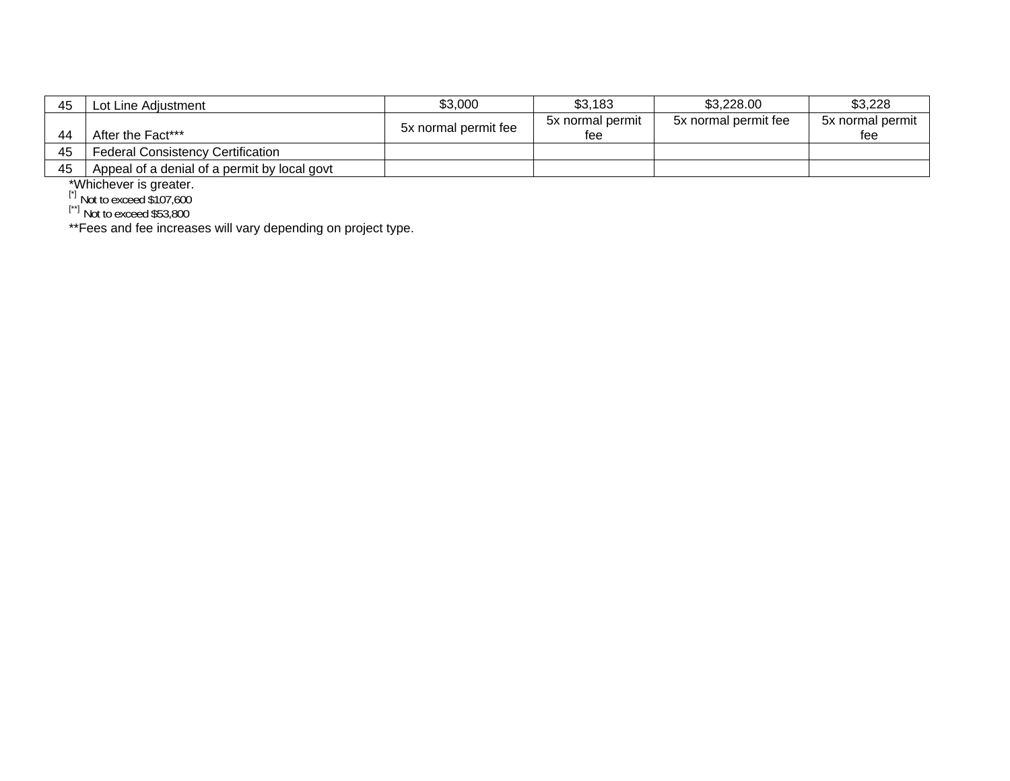| 45 | Lot Line Adiustment                          | \$3,000              | \$3,183          | \$3,228.00           | \$3,228          |
|----|----------------------------------------------|----------------------|------------------|----------------------|------------------|
|    |                                              | 5x normal permit fee | 5x normal permit | 5x normal permit fee | 5x normal permit |
| 44 | After the Fact***                            |                      | tee              |                      | tee              |
| 45 | <b>Federal Consistency Certification</b>     |                      |                  |                      |                  |
| 45 | Appeal of a denial of a permit by local govt |                      |                  |                      |                  |

\*Whichever is greater.<br><sup>[\*]</sup> Not to exceed \$107,600

[\*\*] Not to exceed \$53,800

\*\*Fees and fee increases will vary depending on project type.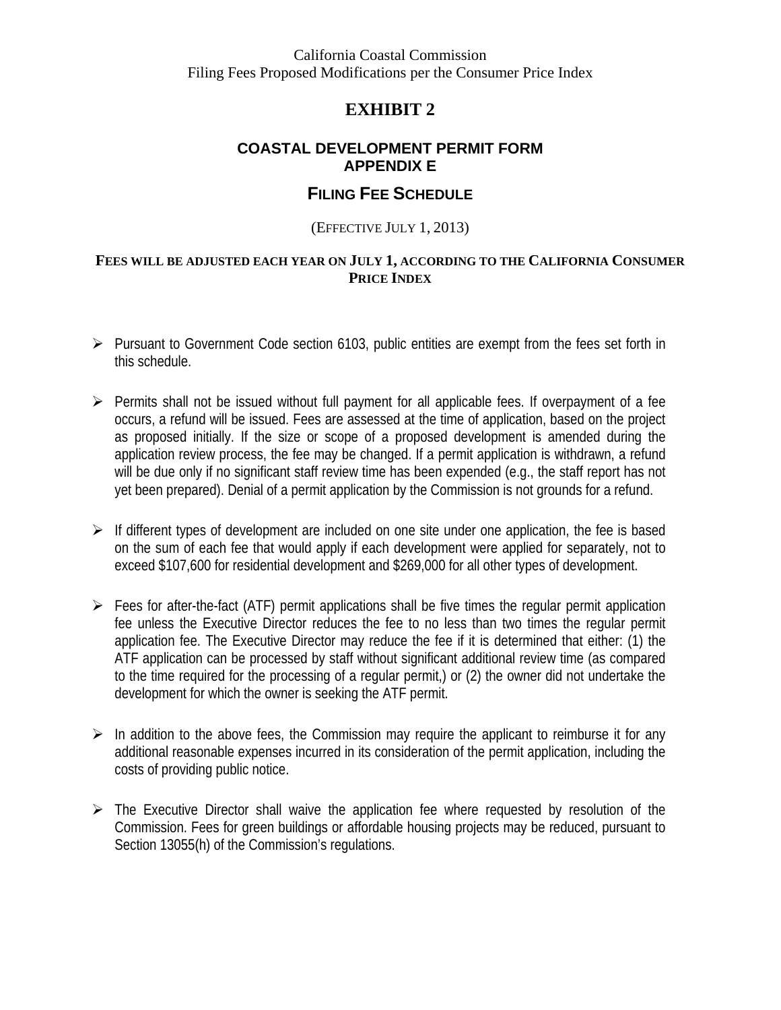California Coastal Commission Filing Fees Proposed Modifications per the Consumer Price Index

#### **EXHIBIT 2**

#### **COASTAL DEVELOPMENT PERMIT FORM APPENDIX E**

#### **FILING FEE SCHEDULE**

#### (EFFECTIVE JULY 1, 2013)

#### **FEES WILL BE ADJUSTED EACH YEAR ON JULY 1, ACCORDING TO THE CALIFORNIA CONSUMER PRICE INDEX**

- $\triangleright$  Pursuant to Government Code section 6103, public entities are exempt from the fees set forth in this schedule.
- $\triangleright$  Permits shall not be issued without full payment for all applicable fees. If overpayment of a fee occurs, a refund will be issued. Fees are assessed at the time of application, based on the project as proposed initially. If the size or scope of a proposed development is amended during the application review process, the fee may be changed. If a permit application is withdrawn, a refund will be due only if no significant staff review time has been expended (e.g., the staff report has not yet been prepared). Denial of a permit application by the Commission is not grounds for a refund.
- $\triangleright$  If different types of development are included on one site under one application, the fee is based on the sum of each fee that would apply if each development were applied for separately, not to exceed \$107,600 for residential development and \$269,000 for all other types of development.
- $\triangleright$  Fees for after-the-fact (ATF) permit applications shall be five times the regular permit application fee unless the Executive Director reduces the fee to no less than two times the regular permit application fee. The Executive Director may reduce the fee if it is determined that either: (1) the ATF application can be processed by staff without significant additional review time (as compared to the time required for the processing of a regular permit,) or (2) the owner did not undertake the development for which the owner is seeking the ATF permit.
- $\triangleright$  In addition to the above fees, the Commission may require the applicant to reimburse it for any additional reasonable expenses incurred in its consideration of the permit application, including the costs of providing public notice.
- $\triangleright$  The Executive Director shall waive the application fee where requested by resolution of the Commission. Fees for green buildings or affordable housing projects may be reduced, pursuant to Section 13055(h) of the Commission's regulations.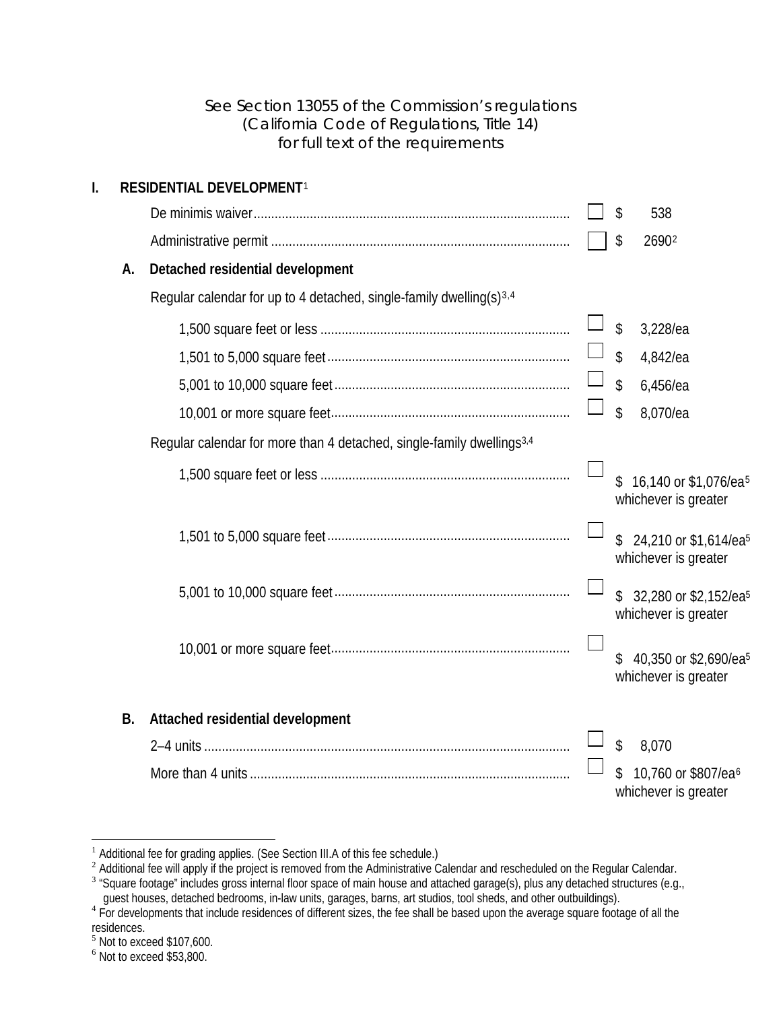#### See Section 13055 of the Commission's regulations (California Code of Regulations, Title 14) for full text of the requirements

<span id="page-5-6"></span><span id="page-5-4"></span>

| I. |           | RESIDENTIAL DEVELOPMENT <sup>1</sup>                                              |                                                                 |
|----|-----------|-----------------------------------------------------------------------------------|-----------------------------------------------------------------|
|    |           |                                                                                   | 538<br>\$                                                       |
|    |           |                                                                                   | 26902<br>\$                                                     |
|    | А.        | Detached residential development                                                  |                                                                 |
|    |           | Regular calendar for up to 4 detached, single-family dwelling(s) <sup>3,4</sup>   |                                                                 |
|    |           |                                                                                   | \$<br>3,228/ea                                                  |
|    |           |                                                                                   | \$<br>4,842/ea                                                  |
|    |           |                                                                                   | \$<br>6,456/ea                                                  |
|    |           |                                                                                   | \$<br>8,070/ea                                                  |
|    |           | Regular calendar for more than 4 detached, single-family dwellings <sup>3,4</sup> |                                                                 |
|    |           |                                                                                   | 16,140 or \$1,076/ea <sup>5</sup><br>\$<br>whichever is greater |
|    |           |                                                                                   | 24,210 or \$1,614/ea <sup>5</sup><br>\$<br>whichever is greater |
|    |           |                                                                                   | 32,280 or \$2,152/ea <sup>5</sup><br>whichever is greater       |
|    |           |                                                                                   | 40,350 or \$2,690/ea <sup>5</sup><br>whichever is greater       |
|    | <b>B.</b> | Attached residential development                                                  |                                                                 |
|    |           |                                                                                   | \$<br>8,070                                                     |
|    |           |                                                                                   | 10,760 or \$807/ea <sup>6</sup><br>whichever is greater         |

 $\overline{a}$ 

<span id="page-5-0"></span> $1$  Additional fee for grading applies. (See Section III.A of this fee schedule.)

 $2$  Additional fee will apply if the project is removed from the Administrative Calendar and rescheduled on the Regular Calendar.

<span id="page-5-2"></span><span id="page-5-1"></span> $3$  "Square footage" includes gross internal floor space of main house and attached garage(s), plus any detached structures (e.g.,

guest houses, detached bedrooms, in-law units, garages, barns, art studios, tool sheds, and other outbuildings).<br><sup>4</sup> For developments that include residences of different sizes, the fee shall be based upon the average squa

<span id="page-5-3"></span>residences.

<span id="page-5-5"></span> $<sup>5</sup>$  Not to exceed \$107,600.</sup>

<span id="page-5-7"></span> $<sup>6</sup>$  Not to exceed \$53,800.</sup>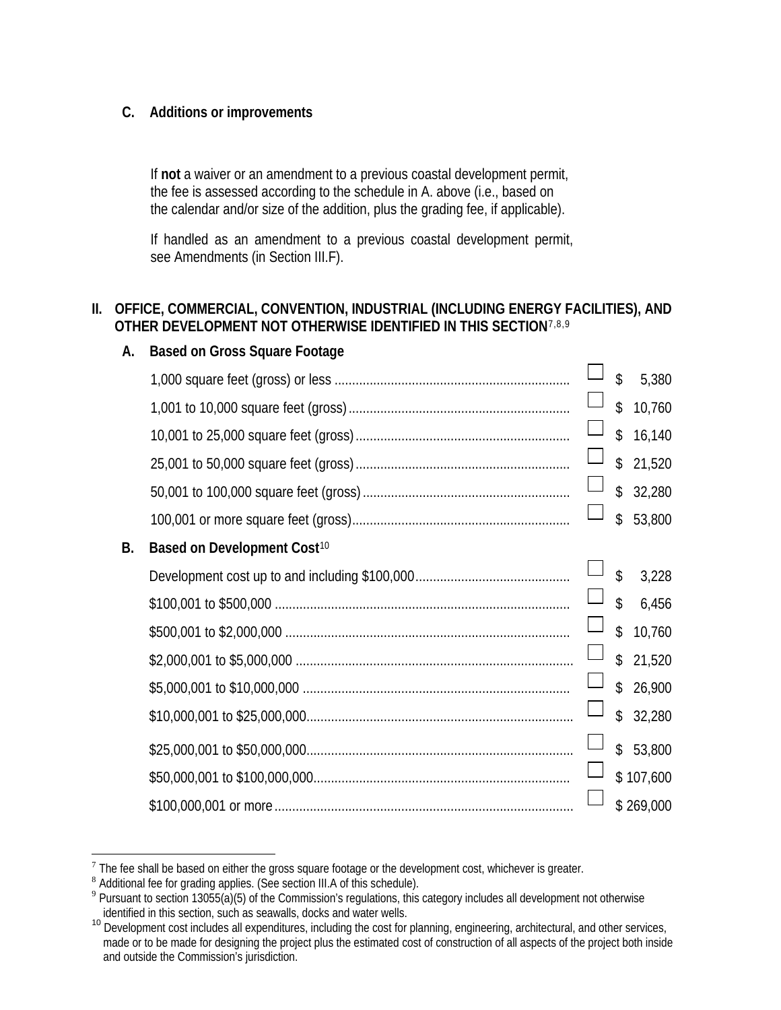#### **C. Additions or improvements**

If **not** a waiver or an amendment to a previous coastal development permit, the fee is assessed according to the schedule in A. above (i.e., based on the calendar and/or size of the addition, plus the grading fee, if applicable).

If handled as an amendment to a previous coastal development permit, see Amendments (in Section III.F).

#### **II. OFFICE, COMMERCIAL, CONVENTION, INDUSTRIAL (INCLUDING ENERGY FACILITIES), AND OTHER DEVELOPMENT NOT OTHERWISE IDENTIFIED IN THIS SECTION**[7](#page-6-0)[,8](#page-6-1),[9](#page-6-2)

|    |                                         |        | \$            | 5,380     |
|----|-----------------------------------------|--------|---------------|-----------|
|    |                                         |        | \$            | 10,760    |
|    |                                         |        | $\mathsf{\$}$ | 16,140    |
|    |                                         |        | \$            | 21,520    |
|    |                                         |        | $\mathcal{L}$ | 32,280    |
|    |                                         |        | $\mathsf{\$}$ | 53,800    |
| В. | Based on Development Cost <sup>10</sup> |        |               |           |
|    |                                         |        | $\mathsf{\$}$ | 3,228     |
|    |                                         |        | $\mathsf{\$}$ | 6,456     |
|    |                                         |        | $\mathcal{L}$ | 10,760    |
|    |                                         | $\Box$ | $\mathcal{S}$ | 21,520    |
|    |                                         |        | $\mathsf{\$}$ | 26,900    |
|    |                                         |        | $\mathcal{S}$ | 32,280    |
|    |                                         |        | $\mathcal{L}$ | 53,800    |
|    |                                         |        |               | \$107,600 |
|    |                                         |        |               | \$269,000 |

#### **A. Based on Gross Square Footage**

 $\overline{a}$ 

<span id="page-6-0"></span><sup>&</sup>lt;sup>7</sup> The fee shall be based on either the gross square footage or the development cost, whichever is greater.<br><sup>8</sup> Additional fee for grading applies. (See section III.A of this schedule).

<span id="page-6-1"></span>

<span id="page-6-2"></span><sup>&</sup>lt;sup>9</sup> Pursuant to section 13055(a)(5) of the Commission's regulations, this category includes all development not otherwise identified in this section, such as seawalls, docks and water wells.

<span id="page-6-3"></span><sup>10</sup> Development cost includes all expenditures, including the cost for planning, engineering, architectural, and other services, made or to be made for designing the project plus the estimated cost of construction of all aspects of the project both inside and outside the Commission's jurisdiction.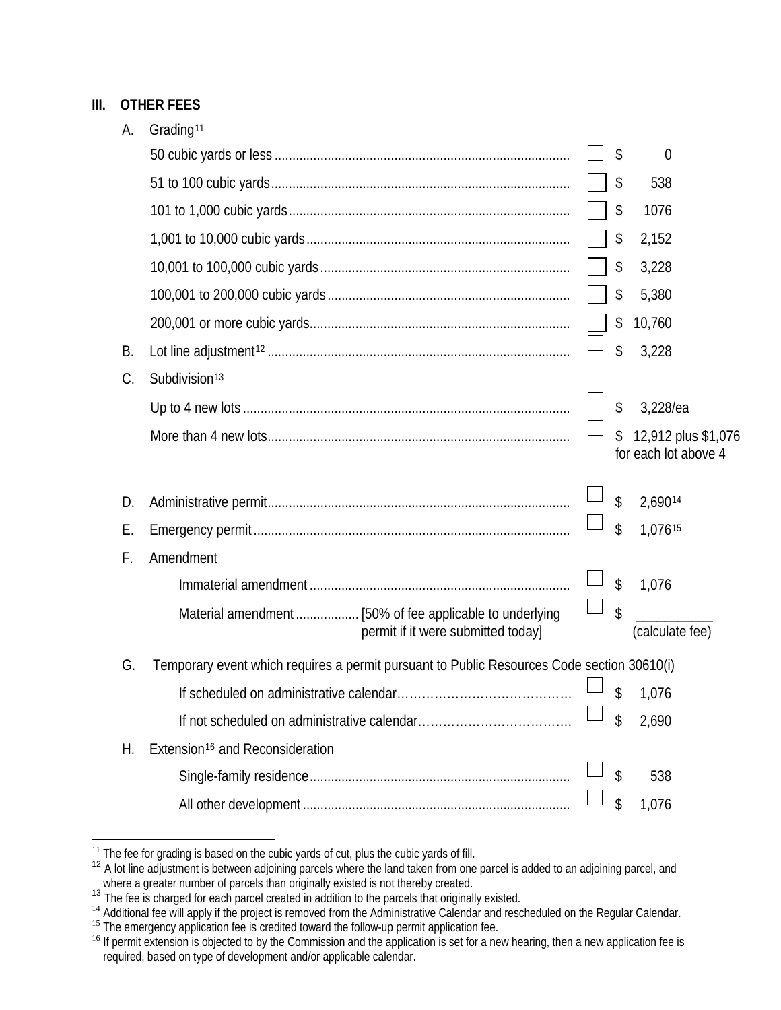#### **III. OTHER FEES**

| А. | Grading <sup>11</sup>                                                                      |    |                                             |
|----|--------------------------------------------------------------------------------------------|----|---------------------------------------------|
|    |                                                                                            | \$ | $\overline{0}$                              |
|    |                                                                                            | \$ | 538                                         |
|    |                                                                                            | \$ | 1076                                        |
|    |                                                                                            | \$ | 2,152                                       |
|    |                                                                                            | \$ | 3,228                                       |
|    |                                                                                            | \$ | 5,380                                       |
|    |                                                                                            | \$ | 10,760                                      |
| В. |                                                                                            | \$ | 3,228                                       |
| C. | Subdivision <sup>13</sup>                                                                  |    |                                             |
|    |                                                                                            | \$ | 3,228/ea                                    |
|    |                                                                                            | \$ | 12,912 plus \$1,076<br>for each lot above 4 |
| D. |                                                                                            | \$ | 2,69014                                     |
| Е. |                                                                                            | \$ | 1,07615                                     |
| F. | Amendment                                                                                  |    |                                             |
|    |                                                                                            | \$ | 1,076                                       |
|    | permit if it were submitted today]                                                         | \$ | (calculate fee)                             |
| G. | Temporary event which requires a permit pursuant to Public Resources Code section 30610(i) |    |                                             |
|    |                                                                                            | \$ | 1,076                                       |
|    |                                                                                            | \$ | 2,690                                       |
| Η. | Extension <sup>16</sup> and Reconsideration                                                |    |                                             |
|    |                                                                                            | \$ | 538                                         |
|    |                                                                                            | \$ | 1,076                                       |

 $\overline{a}$ 

<span id="page-7-1"></span><span id="page-7-0"></span>

<sup>&</sup>lt;sup>11</sup> The fee for grading is based on the cubic yards of cut, plus the cubic yards of fill.<br><sup>12</sup> A lot line adjustment is between adjoining parcels where the land taken from one parcel is added to an adjoining parcel, and

<span id="page-7-3"></span><span id="page-7-2"></span>

where a greater number of parcels than originally existed is not thereby created.<br><sup>13</sup> The fee is charged for each parcel created in addition to the parcels that originally existed.<br><sup>14</sup> Additional fee will apply if the pr

<span id="page-7-5"></span><span id="page-7-4"></span><sup>&</sup>lt;sup>16</sup> If permit extension is objected to by the Commission and the application is set for a new hearing, then a new application fee is required, based on type of development and/or applicable calendar.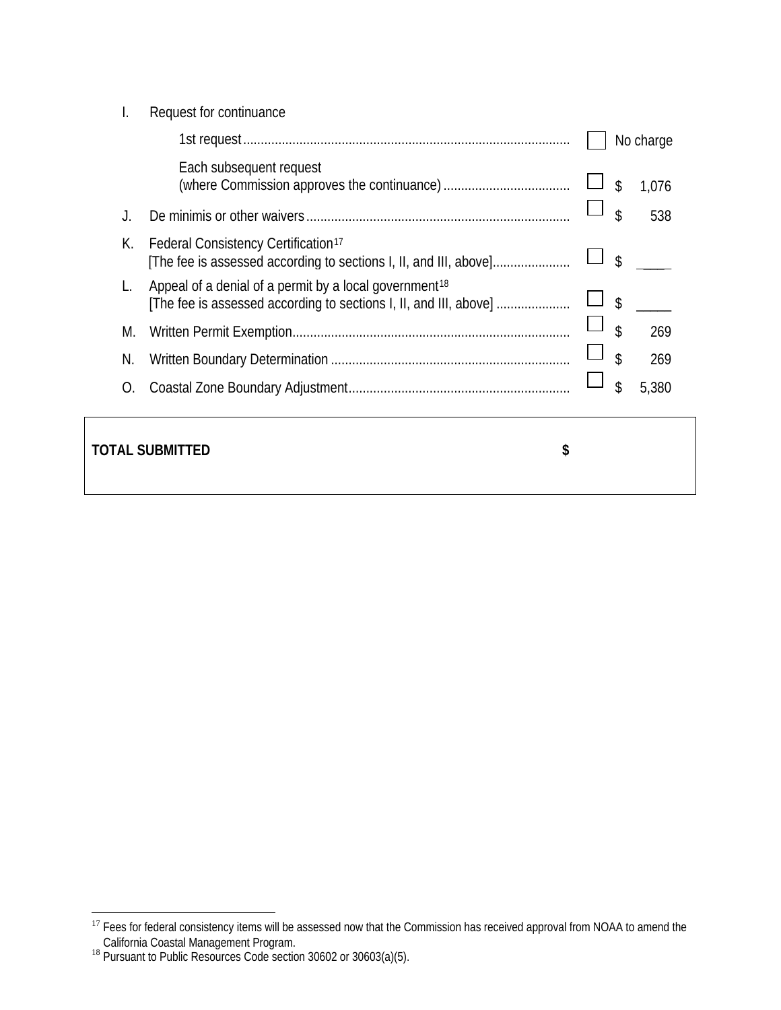|    | Request for continuance                                                                                                                 |                      |  |
|----|-----------------------------------------------------------------------------------------------------------------------------------------|----------------------|--|
|    |                                                                                                                                         | No charge            |  |
|    | Each subsequent request                                                                                                                 | \$<br>1,076          |  |
|    |                                                                                                                                         | \$<br>538            |  |
| К. | Federal Consistency Certification <sup>17</sup><br>[The fee is assessed according to sections I, II, and III, above]                    | \$                   |  |
|    | Appeal of a denial of a permit by a local government <sup>18</sup><br>[The fee is assessed according to sections I, II, and III, above] | $\mathcal{L}$        |  |
| M. |                                                                                                                                         | $\mathcal{S}$<br>269 |  |
| N. |                                                                                                                                         | \$<br>269            |  |
| O. |                                                                                                                                         | \$<br>5,380          |  |
|    |                                                                                                                                         |                      |  |

#### **TOTAL SUBMITTED \$**

 $\overline{a}$ <sup>17</sup> Fees for federal consistency items will be assessed now that the Commission has received approval from NOAA to amend the

<span id="page-8-1"></span><span id="page-8-0"></span>California Coastal Management Program.<br><sup>18</sup> Pursuant to Public Resources Code section 30602 or 30603(a)(5).